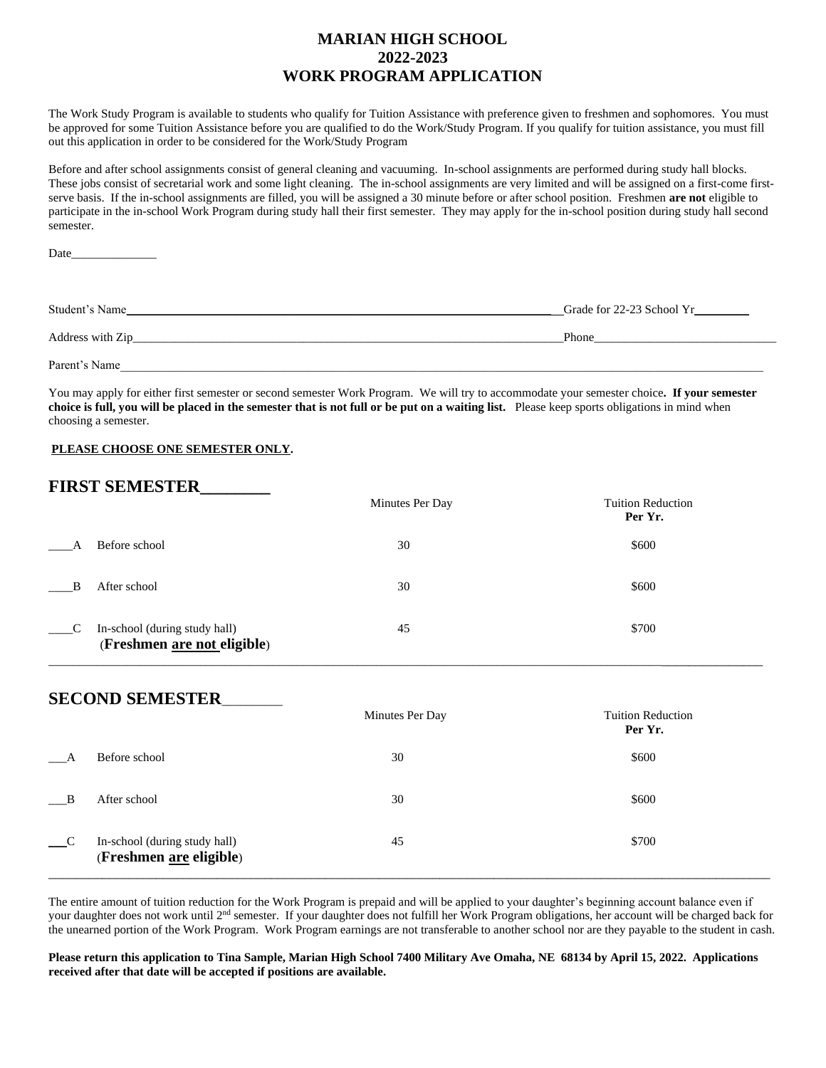#### **MARIAN HIGH SCHOOL 2022-2023 WORK PROGRAM APPLICATION**

The Work Study Program is available to students who qualify for Tuition Assistance with preference given to freshmen and sophomores. You must be approved for some Tuition Assistance before you are qualified to do the Work/Study Program. If you qualify for tuition assistance, you must fill out this application in order to be considered for the Work/Study Program

Before and after school assignments consist of general cleaning and vacuuming. In-school assignments are performed during study hall blocks. These jobs consist of secretarial work and some light cleaning. The in-school assignments are very limited and will be assigned on a first-come firstserve basis. If the in-school assignments are filled, you will be assigned a 30 minute before or after school position. Freshmen **are not** eligible to participate in the in-school Work Program during study hall their first semester. They may apply for the in-school position during study hall second semester.

Date

| Student's Name   | Grade for 22-23 School Yr |
|------------------|---------------------------|
| Address with Zip | Phone                     |
| Parent's Name    |                           |

You may apply for either first semester or second semester Work Program. We will try to accommodate your semester choice**. If your semester choice is full, you will be placed in the semester that is not full or be put on a waiting list.** Please keep sports obligations in mind when choosing a semester.

#### **PLEASE CHOOSE ONE SEMESTER ONLY.**

### **FIRST SEMESTER\_\_\_\_\_\_\_\_**

|                                          |                                                                     | Minutes Per Day | <b>Tuition Reduction</b><br>Per Yr. |
|------------------------------------------|---------------------------------------------------------------------|-----------------|-------------------------------------|
|                                          | Before school                                                       | 30              | \$600                               |
| $\overline{B}$                           | After school                                                        | 30              | \$600                               |
| $\overline{\phantom{0}}^{\phantom{0}}$ C | In-school (during study hall)<br>(Freshmen <u>are not</u> eligible) | 45              | \$700                               |

### **SECOND SEMESTER**\_\_\_\_\_\_\_\_\_\_

|                                        |                                                          | Minutes Per Day | <b>Tuition Reduction</b><br>Per Yr. |
|----------------------------------------|----------------------------------------------------------|-----------------|-------------------------------------|
|                                        | Before school                                            | 30              | \$600                               |
| $\mathbf{B}$                           | After school                                             | 30              | \$600                               |
| $\overline{\phantom{a}}^{\phantom{a}}$ | In-school (during study hall)<br>(Freshmen are eligible) | 45              | \$700                               |

The entire amount of tuition reduction for the Work Program is prepaid and will be applied to your daughter's beginning account balance even if your daughter does not work until 2nd semester. If your daughter does not fulfill her Work Program obligations, her account will be charged back for the unearned portion of the Work Program. Work Program earnings are not transferable to another school nor are they payable to the student in cash.

**Please return this application to Tina Sample, Marian High School 7400 Military Ave Omaha, NE 68134 by April 15, 2022. Applications received after that date will be accepted if positions are available.**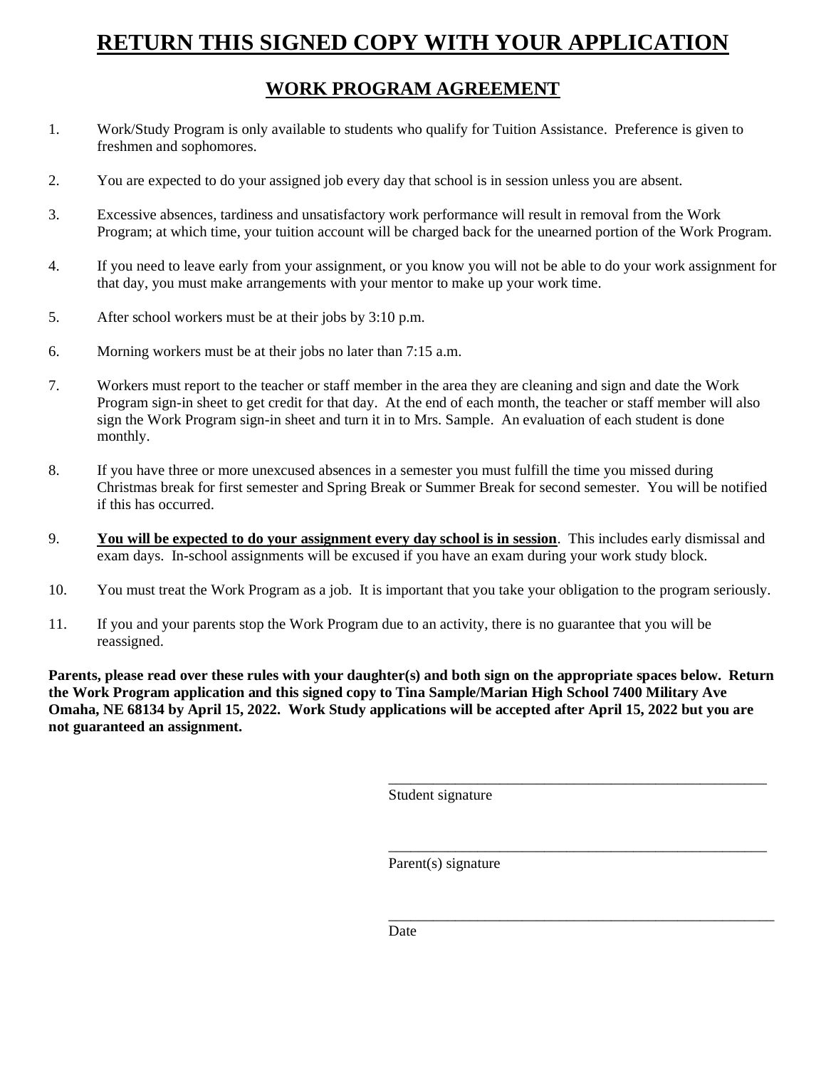# **RETURN THIS SIGNED COPY WITH YOUR APPLICATION**

## **WORK PROGRAM AGREEMENT**

- 1. Work/Study Program is only available to students who qualify for Tuition Assistance. Preference is given to freshmen and sophomores.
- 2. You are expected to do your assigned job every day that school is in session unless you are absent.
- 3. Excessive absences, tardiness and unsatisfactory work performance will result in removal from the Work Program; at which time, your tuition account will be charged back for the unearned portion of the Work Program.
- 4. If you need to leave early from your assignment, or you know you will not be able to do your work assignment for that day, you must make arrangements with your mentor to make up your work time.
- 5. After school workers must be at their jobs by 3:10 p.m.
- 6. Morning workers must be at their jobs no later than 7:15 a.m.
- 7. Workers must report to the teacher or staff member in the area they are cleaning and sign and date the Work Program sign-in sheet to get credit for that day. At the end of each month, the teacher or staff member will also sign the Work Program sign-in sheet and turn it in to Mrs. Sample. An evaluation of each student is done monthly.
- 8. If you have three or more unexcused absences in a semester you must fulfill the time you missed during Christmas break for first semester and Spring Break or Summer Break for second semester. You will be notified if this has occurred.
- 9. **You will be expected to do your assignment every day school is in session**. This includes early dismissal and exam days. In-school assignments will be excused if you have an exam during your work study block.
- 10. You must treat the Work Program as a job. It is important that you take your obligation to the program seriously.
- 11. If you and your parents stop the Work Program due to an activity, there is no guarantee that you will be reassigned.

**Parents, please read over these rules with your daughter(s) and both sign on the appropriate spaces below. Return the Work Program application and this signed copy to Tina Sample/Marian High School 7400 Military Ave Omaha, NE 68134 by April 15, 2022. Work Study applications will be accepted after April 15, 2022 but you are not guaranteed an assignment.** 

Student signature

\_\_\_\_\_\_\_\_\_\_\_\_\_\_\_\_\_\_\_\_\_\_\_\_\_\_\_\_\_\_\_\_\_\_\_\_\_\_\_\_\_\_\_\_\_\_\_\_\_\_\_

\_\_\_\_\_\_\_\_\_\_\_\_\_\_\_\_\_\_\_\_\_\_\_\_\_\_\_\_\_\_\_\_\_\_\_\_\_\_\_\_\_\_\_\_\_\_\_\_\_\_\_

\_\_\_\_\_\_\_\_\_\_\_\_\_\_\_\_\_\_\_\_\_\_\_\_\_\_\_\_\_\_\_\_\_\_\_\_\_\_\_\_\_\_\_\_\_\_\_\_\_\_\_\_

Parent(s) signature

Date